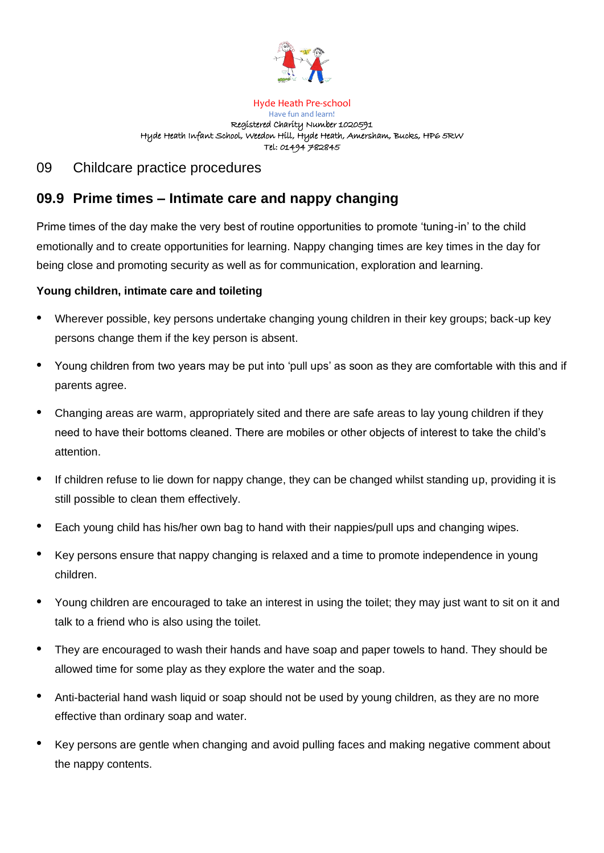

## Hyde Heath Pre-school Have fun and learn! Registered Charity Number 1020591 Hyde Heath Infant School, Weedon Hill, Hyde Heath, Amersham, Bucks, HP6 5RW Tel: 01494 782845

## 09 Childcare practice procedures

## **09.9 Prime times – Intimate care and nappy changing**

Prime times of the day make the very best of routine opportunities to promote 'tuning-in' to the child emotionally and to create opportunities for learning. Nappy changing times are key times in the day for being close and promoting security as well as for communication, exploration and learning.

## **Young children, intimate care and toileting**

- Wherever possible, key persons undertake changing young children in their key groups; back-up key persons change them if the key person is absent.
- Young children from two years may be put into 'pull ups' as soon as they are comfortable with this and if parents agree.
- Changing areas are warm, appropriately sited and there are safe areas to lay young children if they need to have their bottoms cleaned. There are mobiles or other objects of interest to take the child's attention.
- If children refuse to lie down for nappy change, they can be changed whilst standing up, providing it is still possible to clean them effectively.
- Each young child has his/her own bag to hand with their nappies/pull ups and changing wipes.
- Key persons ensure that nappy changing is relaxed and a time to promote independence in young children.
- Young children are encouraged to take an interest in using the toilet; they may just want to sit on it and talk to a friend who is also using the toilet.
- They are encouraged to wash their hands and have soap and paper towels to hand. They should be allowed time for some play as they explore the water and the soap.
- Anti-bacterial hand wash liquid or soap should not be used by young children, as they are no more effective than ordinary soap and water.
- Key persons are gentle when changing and avoid pulling faces and making negative comment about the nappy contents.